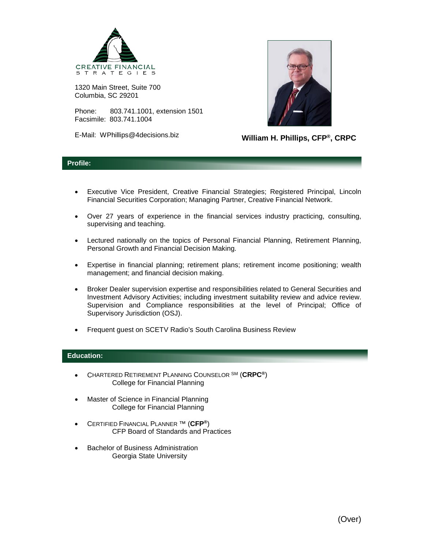

1320 Main Street, Suite 700 Columbia, SC 29201

Phone: 803.741.1001, extension 1501 Facsimile: 803.741.1004

E-Mail: WPhillips@4decisions.biz



**William H. Phillips, CFP®, CRPC**

## **Profile:**

- Executive Vice President, Creative Financial Strategies; Registered Principal, Lincoln Financial Securities Corporation; Managing Partner, Creative Financial Network.
- Over 27 years of experience in the financial services industry practicing, consulting, supervising and teaching.
- Lectured nationally on the topics of Personal Financial Planning, Retirement Planning, Personal Growth and Financial Decision Making.
- Expertise in financial planning; retirement plans; retirement income positioning; wealth management; and financial decision making.
- Broker Dealer supervision expertise and responsibilities related to General Securities and Investment Advisory Activities; including investment suitability review and advice review. Supervision and Compliance responsibilities at the level of Principal; Office of Supervisory Jurisdiction (OSJ).
- Frequent guest on SCETV Radio's South Carolina Business Review

## **Education:**

- CHARTERED RETIREMENT PLANNING COUNSELOR SM (**CRPC®**) College for Financial Planning
- Master of Science in Financial Planning College for Financial Planning
- CERTIFIED FINANCIAL PLANNER ™ (**CFP®**) CFP Board of Standards and Practices
- Bachelor of Business Administration Georgia State University